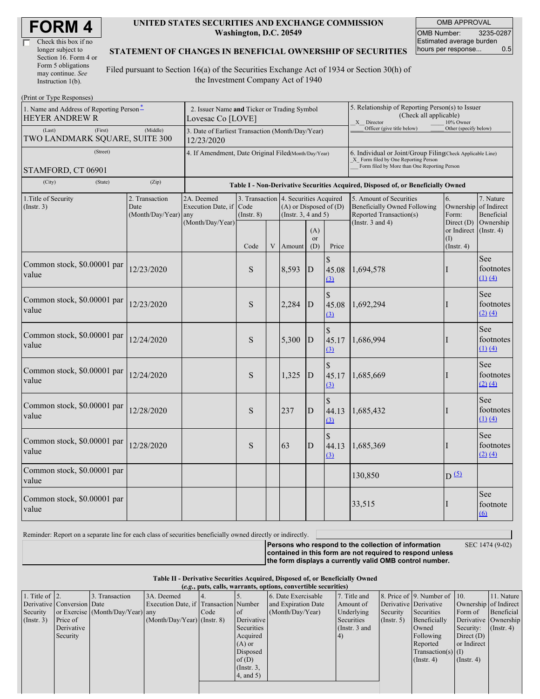| Check this box if no  |  |
|-----------------------|--|
| longer subject to     |  |
| Section 16. Form 4 or |  |
| Form 5 obligations    |  |
| may continue. See     |  |
| Instruction 1(b).     |  |

#### **UNITED STATES SECURITIES AND EXCHANGE COMMISSION Washington, D.C. 20549**

OMB APPROVAL OMB Number: 3235-0287 Estimated average burden hours per response... 0.5

### **STATEMENT OF CHANGES IN BENEFICIAL OWNERSHIP OF SECURITIES**

Filed pursuant to Section 16(a) of the Securities Exchange Act of 1934 or Section 30(h) of the Investment Company Act of 1940

| (Print or Type Responses)                                                             |                                                                                  |                                  |                         |   |                                                                                                 |                            |                                                                                                                                                    |                                                                                    |                                                                   |                                        |
|---------------------------------------------------------------------------------------|----------------------------------------------------------------------------------|----------------------------------|-------------------------|---|-------------------------------------------------------------------------------------------------|----------------------------|----------------------------------------------------------------------------------------------------------------------------------------------------|------------------------------------------------------------------------------------|-------------------------------------------------------------------|----------------------------------------|
| 1. Name and Address of Reporting Person-<br><b>HEYER ANDREW R</b>                     | 2. Issuer Name and Ticker or Trading Symbol<br>Lovesac Co [LOVE]                 |                                  |                         |   |                                                                                                 |                            | 5. Relationship of Reporting Person(s) to Issuer<br>(Check all applicable)<br>X Director<br>10% Owner                                              |                                                                                    |                                                                   |                                        |
| (Last)<br>(First)<br>TWO LANDMARK SQUARE, SUITE 300                                   | 3. Date of Earliest Transaction (Month/Day/Year)<br>12/23/2020                   |                                  |                         |   |                                                                                                 | Officer (give title below) | Other (specify below)                                                                                                                              |                                                                                    |                                                                   |                                        |
| (Street)<br>STAMFORD, CT 06901                                                        | 4. If Amendment, Date Original Filed(Month/Day/Year)                             |                                  |                         |   |                                                                                                 |                            | 6. Individual or Joint/Group Filing Check Applicable Line)<br>X Form filed by One Reporting Person<br>Form filed by More than One Reporting Person |                                                                                    |                                                                   |                                        |
| (City)<br>(State)                                                                     | Table I - Non-Derivative Securities Acquired, Disposed of, or Beneficially Owned |                                  |                         |   |                                                                                                 |                            |                                                                                                                                                    |                                                                                    |                                                                   |                                        |
| 1. Title of Security<br>2. Transaction<br>(Insert. 3)<br>Date<br>(Month/Day/Year) any |                                                                                  | 2A. Deemed<br>Execution Date, if | Code<br>$($ Instr. $8)$ |   | 3. Transaction 4. Securities Acquired<br>$(A)$ or Disposed of $(D)$<br>(Instr. $3, 4$ and $5$ ) |                            |                                                                                                                                                    | 5. Amount of Securities<br>Beneficially Owned Following<br>Reported Transaction(s) | 6.<br>Ownership of Indirect<br>Form:                              | 7. Nature<br>Beneficial                |
|                                                                                       |                                                                                  | (Month/Day/Year)                 | Code                    | V | Amount                                                                                          | (A)<br><b>or</b><br>(D)    | Price                                                                                                                                              | (Instr. $3$ and $4$ )                                                              | Direct $(D)$<br>or Indirect (Instr. 4)<br>(I)<br>$($ Instr. 4 $)$ | Ownership                              |
| Common stock, \$0.00001 par<br>value                                                  | 12/23/2020                                                                       |                                  | S                       |   | 8,593                                                                                           | ${\bf D}$                  | \$<br>45.08<br>$\Omega$                                                                                                                            | 1,694,578                                                                          | н                                                                 | See<br>footnotes<br>(1) (4)            |
| Common stock, \$0.00001 par<br>value                                                  | 12/23/2020                                                                       |                                  | S                       |   | 2,284                                                                                           | D                          | \$<br>45.08<br>(3)                                                                                                                                 | 1,692,294                                                                          | I                                                                 | See<br>footnotes<br>$(2)$ $(4)$        |
| Common stock, \$0.00001 par<br>value                                                  | 12/24/2020                                                                       |                                  | S                       |   | 5,300                                                                                           | D                          | \$<br>45.17<br>(3)                                                                                                                                 | 1,686,994                                                                          |                                                                   | See<br>footnotes<br>$(1)$ $(4)$        |
| Common stock, \$0.00001 par<br>value                                                  | 12/24/2020                                                                       |                                  | S                       |   | 1,325                                                                                           | D                          | \$<br>45.17<br>(3)                                                                                                                                 | 1,685,669                                                                          |                                                                   | <b>See</b><br>footnotes<br>$(2)$ $(4)$ |
| Common stock, \$0.00001 par<br>value                                                  | 12/28/2020                                                                       |                                  | S                       |   | 237                                                                                             | $\mathbf D$                | \$<br>44.13<br>(3)                                                                                                                                 | 1,685,432                                                                          | I                                                                 | See<br>footnotes<br>$(1)$ $(4)$        |
| Common stock, \$0.00001 par<br>value                                                  | 12/28/2020                                                                       |                                  | S                       |   | 63                                                                                              | $\mathbf D$                | \$<br>44.13<br>(3)                                                                                                                                 | 1,685,369                                                                          | н                                                                 | See<br>footnotes<br>$(2)$ $(4)$        |
| Common stock, \$0.00001 par<br>value                                                  |                                                                                  |                                  |                         |   |                                                                                                 |                            |                                                                                                                                                    | 130,850                                                                            | $D^{(5)}$                                                         |                                        |
| Common stock, \$0.00001 par<br>value                                                  |                                                                                  |                                  |                         |   |                                                                                                 |                            |                                                                                                                                                    | 33,515                                                                             | I                                                                 | <b>See</b><br>footnote<br>6            |

Reminder: Report on a separate line for each class of securities beneficially owned directly or indirectly.

SEC 1474 (9-02)

**Persons who respond to the collection of information contained in this form are not required to respond unless the form displays a currently valid OMB control number.**

**Table II - Derivative Securities Acquired, Disposed of, or Beneficially Owned (***e.g.***, puts, calls, warrants, options, convertible securities)**

| $\cdots$               |                            |                                  |                                       |      |                 |                     |                 |                  |                              |                               |            |
|------------------------|----------------------------|----------------------------------|---------------------------------------|------|-----------------|---------------------|-----------------|------------------|------------------------------|-------------------------------|------------|
| 1. Title of $\vert$ 2. |                            | 3. Transaction                   | 3A. Deemed                            |      |                 | 6. Date Exercisable | 7. Title and    |                  | 8. Price of 9. Number of 10. |                               | 11. Nature |
|                        | Derivative Conversion Date |                                  | Execution Date, if Transaction Number |      |                 | and Expiration Date | Amount of       |                  | Derivative Derivative        | Ownership of Indirect         |            |
| Security               |                            | or Exercise (Month/Day/Year) any |                                       | Code | <sub>of</sub>   | (Month/Day/Year)    | Underlying      | Security         | Securities                   | Form of                       | Beneficial |
| $($ Instr. 3 $)$       | Price of                   |                                  | $(Month/Day/Year)$ (Instr. 8)         |      | Derivative      |                     | Securities      | $($ Instr. 5 $)$ | Beneficially                 | Derivative Ownership          |            |
|                        | Derivative                 |                                  |                                       |      | Securities      |                     | (Instr. $3$ and |                  | Owned                        | Security: $(\text{Instr. 4})$ |            |
|                        | Security                   |                                  |                                       |      | Acquired        |                     | (4)             |                  | Following                    | Direct $(D)$                  |            |
|                        |                            |                                  |                                       |      | $(A)$ or        |                     |                 |                  | Reported                     | or Indirect                   |            |
|                        |                            |                                  |                                       |      | Disposed        |                     |                 |                  | $Transaction(s)$ (I)         |                               |            |
|                        |                            |                                  |                                       |      | of $(D)$        |                     |                 |                  | $($ Instr. 4)                | $($ Instr. 4)                 |            |
|                        |                            |                                  |                                       |      | $($ Instr. $3,$ |                     |                 |                  |                              |                               |            |
|                        |                            |                                  |                                       |      | $4$ , and $5$ ) |                     |                 |                  |                              |                               |            |
|                        |                            |                                  |                                       |      |                 |                     |                 |                  |                              |                               |            |
|                        |                            |                                  |                                       |      |                 |                     |                 |                  |                              |                               |            |